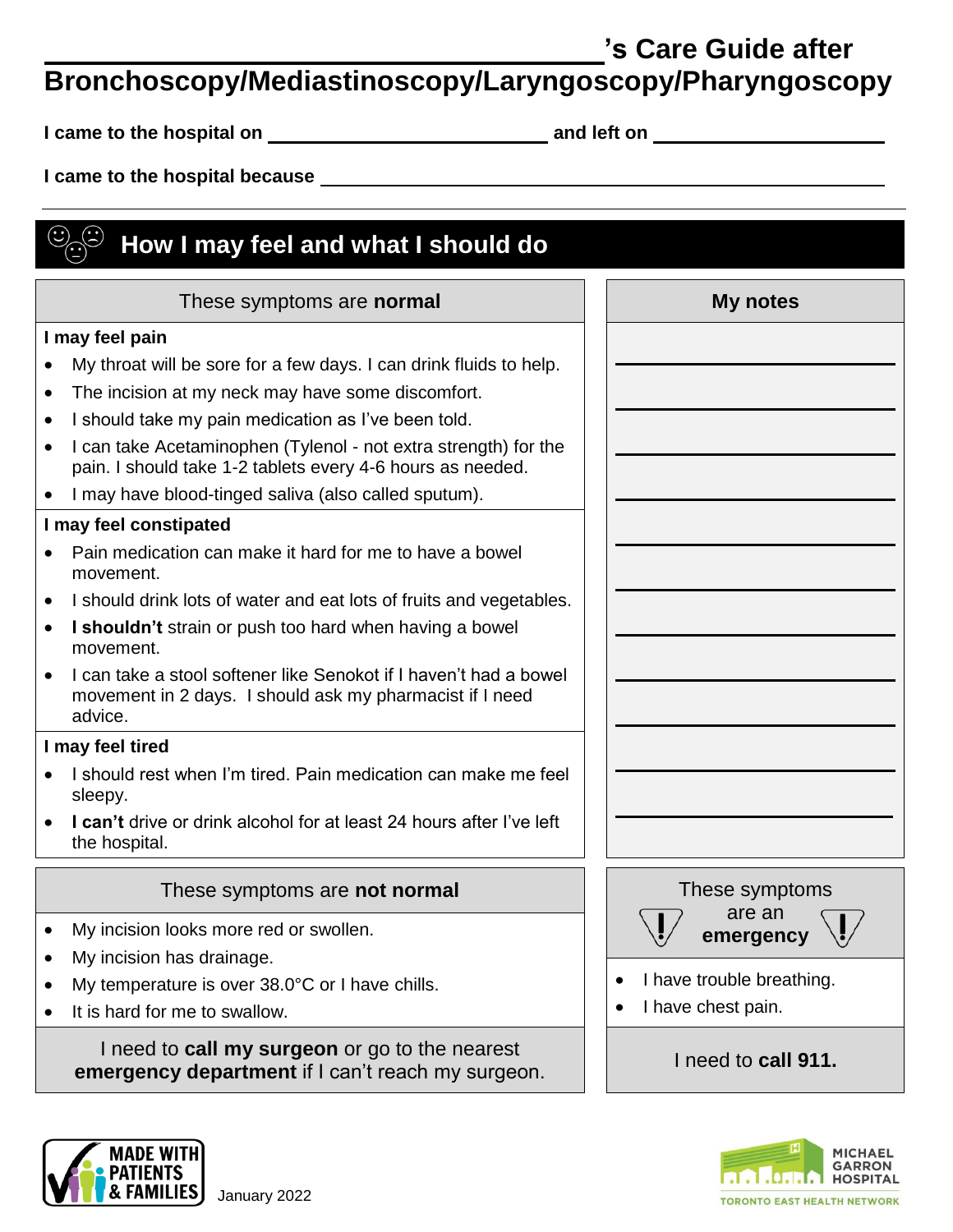## **'s Care Guide after Bronchoscopy/Mediastinoscopy/Laryngoscopy/Pharyngoscopy**

I came to the hospital on **contact on the manufacture of the hospital on**  and left on **contact on the set of the set of the set of the set of the set of the set of the set of the set of the set of the set of the set of th** 

**I came to the hospital because** 

| How I may feel and what I should do                                                                                                                                                                                                                                                                                                                                                                                                                                                                                                                                                                                                                                                                               |                                                                                          |  |
|-------------------------------------------------------------------------------------------------------------------------------------------------------------------------------------------------------------------------------------------------------------------------------------------------------------------------------------------------------------------------------------------------------------------------------------------------------------------------------------------------------------------------------------------------------------------------------------------------------------------------------------------------------------------------------------------------------------------|------------------------------------------------------------------------------------------|--|
| These symptoms are <b>normal</b>                                                                                                                                                                                                                                                                                                                                                                                                                                                                                                                                                                                                                                                                                  | My notes                                                                                 |  |
| I may feel pain<br>My throat will be sore for a few days. I can drink fluids to help.<br>$\bullet$<br>The incision at my neck may have some discomfort.<br>$\bullet$<br>I should take my pain medication as I've been told.<br>$\bullet$<br>I can take Acetaminophen (Tylenol - not extra strength) for the<br>$\bullet$<br>pain. I should take 1-2 tablets every 4-6 hours as needed.<br>I may have blood-tinged saliva (also called sputum).<br>I may feel constipated<br>Pain medication can make it hard for me to have a bowel<br>movement.<br>I should drink lots of water and eat lots of fruits and vegetables.<br>$\bullet$<br>I shouldn't strain or push too hard when having a bowel<br>٠<br>movement. |                                                                                          |  |
| I can take a stool softener like Senokot if I haven't had a bowel<br>$\bullet$<br>movement in 2 days. I should ask my pharmacist if I need<br>advice.                                                                                                                                                                                                                                                                                                                                                                                                                                                                                                                                                             |                                                                                          |  |
| I may feel tired<br>I should rest when I'm tired. Pain medication can make me feel<br>sleepy.<br><b>I can't</b> drive or drink alcohol for at least 24 hours after I've left<br>the hospital.                                                                                                                                                                                                                                                                                                                                                                                                                                                                                                                     |                                                                                          |  |
| These symptoms are not normal<br>My incision looks more red or swollen.<br>٠<br>My incision has drainage.<br>$\bullet$<br>My temperature is over 38.0°C or I have chills.<br>$\bullet$<br>It is hard for me to swallow.<br>$\bullet$                                                                                                                                                                                                                                                                                                                                                                                                                                                                              | These symptoms<br>are an<br>emergency<br>I have trouble breathing.<br>I have chest pain. |  |
| I need to <b>call my surgeon</b> or go to the nearest<br>emergency department if I can't reach my surgeon.                                                                                                                                                                                                                                                                                                                                                                                                                                                                                                                                                                                                        | I need to call 911.                                                                      |  |



January 2022